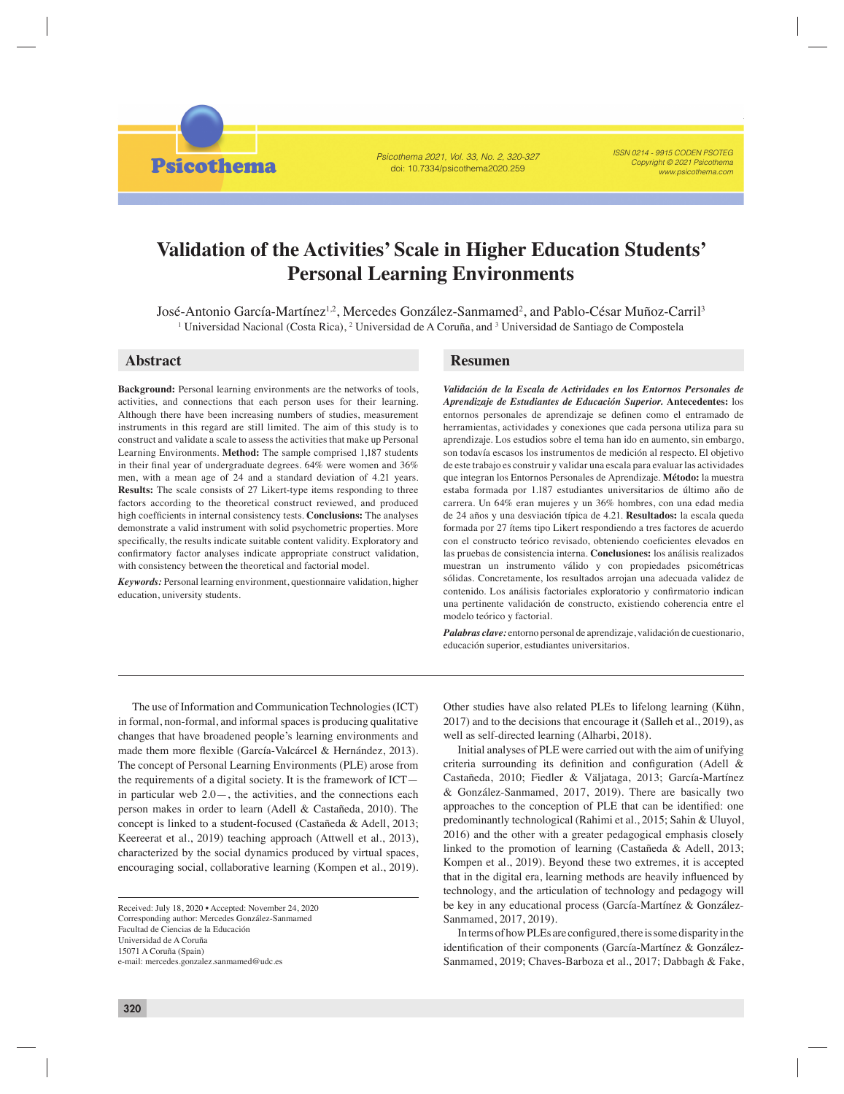Psicothema 2021, Vol. 33, No. 2, 320-327 doi: 10.7334/psicothema2020.259

ISSN 0214 - 9915 CODEN PSOTEG Copyright © 2021 Psicothema www.psicothema.com

# **Validation of the Activities' Scale in Higher Education Students' Personal Learning Environments**

José-Antonio García-Martínez, Mercedes González-Sanmamed, and Pablo-César Muñoz-Carril

José-Antonio García-Martínez<sup>1,2</sup>, Mercedes González-Sanmamed<sup>2</sup>, and Pablo-César Muñoz-Carril<sup>3</sup> <sup>1</sup> Universidad Nacional (Costa Rica), <sup>2</sup> Universidad de A Coruña, and <sup>3</sup> Universidad de Santiago de Compostela

**Psicothema** 

**Background:** Personal learning environments are the networks of tools, activities, and connections that each person uses for their learning. Although there have been increasing numbers of studies, measurement instruments in this regard are still limited. The aim of this study is to construct and validate a scale to assess the activities that make up Personal Learning Environments. **Method:** The sample comprised 1,187 students in their final year of undergraduate degrees.  $64\%$  were women and  $36\%$ men, with a mean age of 24 and a standard deviation of 4.21 years. **Results:** The scale consists of 27 Likert-type items responding to three factors according to the theoretical construct reviewed, and produced high coefficients in internal consistency tests. **Conclusions:** The analyses demonstrate a valid instrument with solid psychometric properties. More specifically, the results indicate suitable content validity. Exploratory and confirmatory factor analyses indicate appropriate construct validation, with consistency between the theoretical and factorial model.

*Keywords:* Personal learning environment, questionnaire validation, higher education, university students.

# **Abstract Resumen**

*Validación de la Escala de Actividades en los Entornos Personales de Aprendizaje de Estudiantes de Educación Superior.* **Antecedentes:** los entornos personales de aprendizaje se definen como el entramado de herramientas, actividades y conexiones que cada persona utiliza para su aprendizaje. Los estudios sobre el tema han ido en aumento, sin embargo, son todavía escasos los instrumentos de medición al respecto. El objetivo de este trabajo es construir y validar una escala para evaluar las actividades que integran los Entornos Personales de Aprendizaje. **Método:** la muestra estaba formada por 1.187 estudiantes universitarios de último año de carrera. Un 64% eran mujeres y un 36% hombres, con una edad media de 24 años y una desviación típica de 4.21. **Resultados:** la escala queda formada por 27 ítems tipo Likert respondiendo a tres factores de acuerdo con el constructo teórico revisado, obteniendo coeficientes elevados en las pruebas de consistencia interna. **Conclusiones:** los análisis realizados muestran un instrumento válido y con propiedades psicométricas sólidas. Concretamente, los resultados arrojan una adecuada validez de contenido. Los análisis factoriales exploratorio y confirmatorio indican una pertinente validación de constructo, existiendo coherencia entre el modelo teórico y factorial.

*Palabras clave:* entorno personal de aprendizaje, validación de cuestionario, educación superior, estudiantes universitarios.

The use of Information and Communication Technologies (ICT) in formal, non-formal, and informal spaces is producing qualitative changes that have broadened people's learning environments and made them more flexible (García-Valcárcel & Hernández, 2013). The concept of Personal Learning Environments (PLE) arose from the requirements of a digital society. It is the framework of ICT in particular web 2.0—, the activities, and the connections each person makes in order to learn (Adell & Castañeda, 2010). The concept is linked to a student-focused (Castañeda & Adell, 2013; Keereerat et al., 2019) teaching approach (Attwell et al., 2013), characterized by the social dynamics produced by virtual spaces, encouraging social, collaborative learning (Kompen et al., 2019).

Other studies have also related PLEs to lifelong learning (Kühn, 2017) and to the decisions that encourage it (Salleh et al., 2019), as well as self-directed learning (Alharbi, 2018).

Initial analyses of PLE were carried out with the aim of unifying criteria surrounding its definition and configuration (Adell  $\&$ Castañeda, 2010; Fiedler & Väljataga, 2013; García-Martínez & González-Sanmamed, 2017, 2019). There are basically two approaches to the conception of PLE that can be identified: one predominantly technological (Rahimi et al., 2015; Sahin & Uluyol, 2016) and the other with a greater pedagogical emphasis closely linked to the promotion of learning (Castañeda & Adell, 2013; Kompen et al., 2019). Beyond these two extremes, it is accepted that in the digital era, learning methods are heavily influenced by technology, and the articulation of technology and pedagogy will be key in any educational process (García-Martínez & González-Sanmamed, 2017, 2019).

In terms of how PLEs are configured, there is some disparity in the identification of their components (García-Martínez & González-Sanmamed, 2019; Chaves-Barboza et al., 2017; Dabbagh & Fake,

Received: July 18, 2020 • Accepted: November 24, 2020 Corresponding author: Mercedes González-Sanmamed Facultad de Ciencias de la Educación Universidad de A Coruña 15071 A Coruña (Spain) e-mail: mercedes.gonzalez.sanmamed@udc.es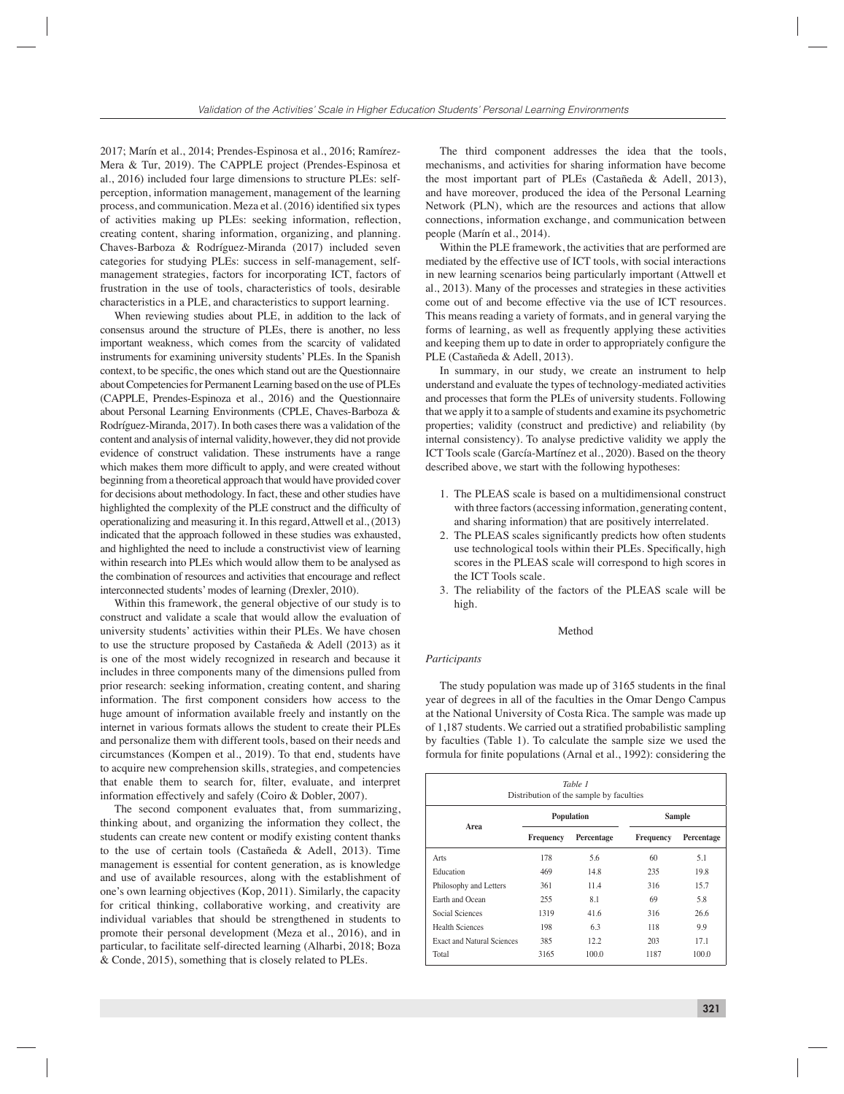2017; Marín et al., 2014; Prendes-Espinosa et al., 2016; Ramírez-Mera & Tur, 2019). The CAPPLE project (Prendes-Espinosa et al., 2016) included four large dimensions to structure PLEs: selfperception, information management, management of the learning process, and communication. Meza et al. (2016) identified six types of activities making up PLEs: seeking information, reflection, creating content, sharing information, organizing, and planning. Chaves-Barboza & Rodríguez-Miranda (2017) included seven categories for studying PLEs: success in self-management, selfmanagement strategies, factors for incorporating ICT, factors of frustration in the use of tools, characteristics of tools, desirable characteristics in a PLE, and characteristics to support learning.

When reviewing studies about PLE, in addition to the lack of consensus around the structure of PLEs, there is another, no less important weakness, which comes from the scarcity of validated instruments for examining university students' PLEs. In the Spanish context, to be specific, the ones which stand out are the Questionnaire about Competencies for Permanent Learning based on the use of PLEs (CAPPLE, Prendes-Espinoza et al., 2016) and the Questionnaire about Personal Learning Environments (CPLE, Chaves-Barboza & Rodríguez-Miranda, 2017). In both cases there was a validation of the content and analysis of internal validity, however, they did not provide evidence of construct validation. These instruments have a range which makes them more difficult to apply, and were created without beginning from a theoretical approach that would have provided cover for decisions about methodology. In fact, these and other studies have highlighted the complexity of the PLE construct and the difficulty of operationalizing and measuring it. In this regard, Attwell et al., (2013) indicated that the approach followed in these studies was exhausted, and highlighted the need to include a constructivist view of learning within research into PLEs which would allow them to be analysed as the combination of resources and activities that encourage and reflect interconnected students' modes of learning (Drexler, 2010).

Within this framework, the general objective of our study is to construct and validate a scale that would allow the evaluation of university students' activities within their PLEs. We have chosen to use the structure proposed by Castañeda & Adell (2013) as it is one of the most widely recognized in research and because it includes in three components many of the dimensions pulled from prior research: seeking information, creating content, and sharing information. The first component considers how access to the huge amount of information available freely and instantly on the internet in various formats allows the student to create their PLEs and personalize them with different tools, based on their needs and circumstances (Kompen et al., 2019). To that end, students have to acquire new comprehension skills, strategies, and competencies that enable them to search for, filter, evaluate, and interpret information effectively and safely (Coiro & Dobler, 2007).

The second component evaluates that, from summarizing, thinking about, and organizing the information they collect, the students can create new content or modify existing content thanks to the use of certain tools (Castañeda & Adell, 2013). Time management is essential for content generation, as is knowledge and use of available resources, along with the establishment of one's own learning objectives (Kop, 2011). Similarly, the capacity for critical thinking, collaborative working, and creativity are individual variables that should be strengthened in students to promote their personal development (Meza et al., 2016), and in particular, to facilitate self-directed learning (Alharbi, 2018; Boza & Conde, 2015), something that is closely related to PLEs.

The third component addresses the idea that the tools, mechanisms, and activities for sharing information have become the most important part of PLEs (Castañeda & Adell, 2013), and have moreover, produced the idea of the Personal Learning Network (PLN), which are the resources and actions that allow connections, information exchange, and communication between people (Marín et al., 2014).

Within the PLE framework, the activities that are performed are mediated by the effective use of ICT tools, with social interactions in new learning scenarios being particularly important (Attwell et al., 2013). Many of the processes and strategies in these activities come out of and become effective via the use of ICT resources. This means reading a variety of formats, and in general varying the forms of learning, as well as frequently applying these activities and keeping them up to date in order to appropriately configure the PLE (Castañeda & Adell, 2013).

In summary, in our study, we create an instrument to help understand and evaluate the types of technology-mediated activities and processes that form the PLEs of university students. Following that we apply it to a sample of students and examine its psychometric properties; validity (construct and predictive) and reliability (by internal consistency). To analyse predictive validity we apply the ICT Tools scale (García-Martínez et al., 2020). Based on the theory described above, we start with the following hypotheses:

- 1. The PLEAS scale is based on a multidimensional construct with three factors (accessing information, generating content, and sharing information) that are positively interrelated.
- 2. The PLEAS scales significantly predicts how often students use technological tools within their PLEs. Specifically, high scores in the PLEAS scale will correspond to high scores in the ICT Tools scale.
- 3. The reliability of the factors of the PLEAS scale will be high.

#### Method

#### *Participants*

The study population was made up of 3165 students in the final year of degrees in all of the faculties in the Omar Dengo Campus at the National University of Costa Rica. The sample was made up of 1,187 students. We carried out a stratified probabilistic sampling by faculties (Table 1). To calculate the sample size we used the formula for finite populations (Arnal et al., 1992): considering the

| Table 1<br>Distribution of the sample by faculties |           |            |               |            |  |  |  |  |
|----------------------------------------------------|-----------|------------|---------------|------------|--|--|--|--|
|                                                    |           | Population | <b>Sample</b> |            |  |  |  |  |
| Area                                               | Frequency | Percentage | Frequency     | Percentage |  |  |  |  |
| Arts                                               | 178       | 5.6        | 60            | 5.1        |  |  |  |  |
| Education                                          | 469       | 14.8       | 235           | 198        |  |  |  |  |
| Philosophy and Letters                             | 361       | 11.4       | 316           | 15.7       |  |  |  |  |
| Earth and Ocean                                    | 255       | 8.1        | 69            | 5.8        |  |  |  |  |
| Social Sciences                                    | 1319      | 41.6       | 316           | 26.6       |  |  |  |  |
| <b>Health Sciences</b>                             | 198       | 6.3        | 118           | 9.9        |  |  |  |  |
| <b>Exact and Natural Sciences</b>                  | 385       | 12.2       | 203           | 17.1       |  |  |  |  |
| Total                                              | 3165      | 100.0      | 1187          | 100.0      |  |  |  |  |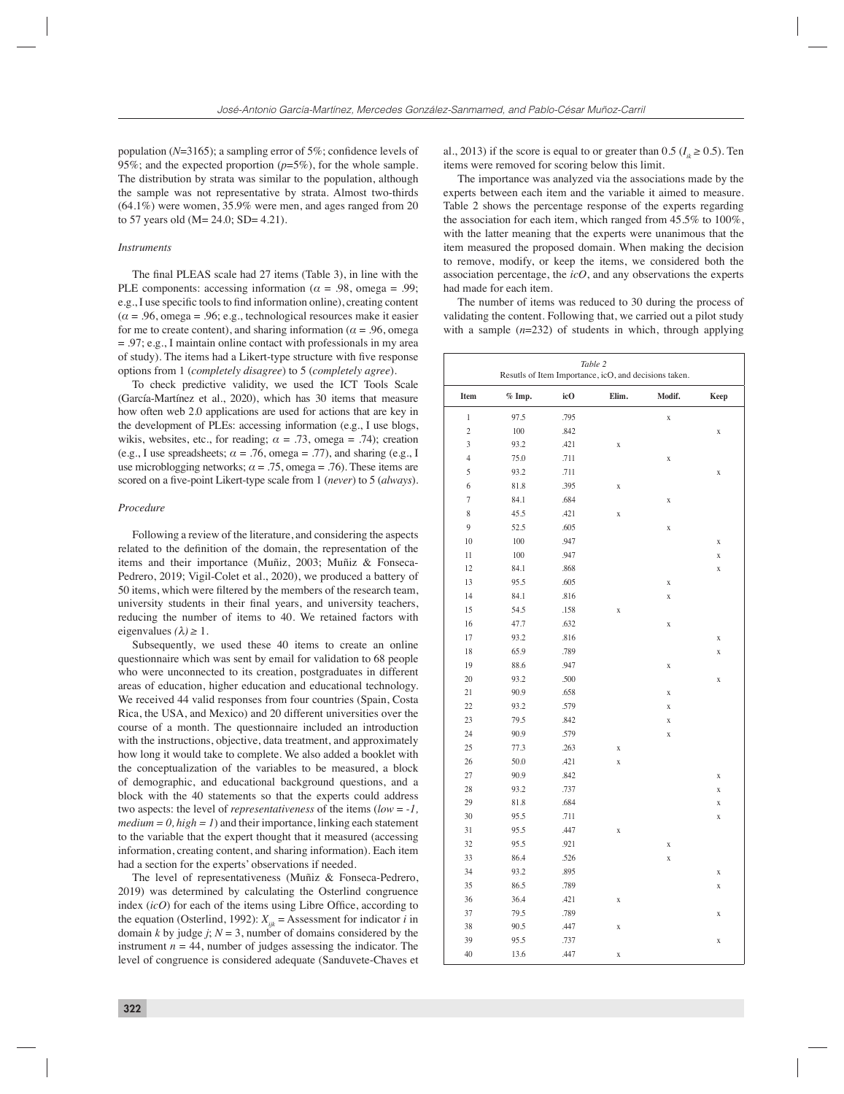population ( $N=3165$ ); a sampling error of 5%; confidence levels of 95%; and the expected proportion (*p*=5%), for the whole sample. The distribution by strata was similar to the population, although the sample was not representative by strata. Almost two-thirds (64.1%) were women, 35.9% were men, and ages ranged from 20 to 57 years old  $(M = 24.0; SD = 4.21)$ .

### *Instruments*

The final PLEAS scale had 27 items (Table 3), in line with the PLE components: accessing information ( $\alpha$  = .98, omega = .99; e.g., I use specific tools to find information online), creating content  $(\alpha = .96, \text{omega} = .96; e.g., \text{technological resources make it easier})$ for me to create content), and sharing information ( $\alpha$  = .96, omega  $= .97$ ; e.g., I maintain online contact with professionals in my area of study). The items had a Likert-type structure with five response options from 1 (*completely disagree*) to 5 (*completely agree*).

To check predictive validity, we used the ICT Tools Scale (García-Martínez et al., 2020), which has 30 items that measure how often web 2.0 applications are used for actions that are key in the development of PLEs: accessing information (e.g., I use blogs, wikis, websites, etc., for reading;  $\alpha = .73$ , omega = .74); creation (e.g., I use spreadsheets;  $\alpha = .76$ , omega = .77), and sharing (e.g., I use microblogging networks;  $\alpha = .75$ , omega = .76). These items are scored on a five-point Likert-type scale from 1 (*never*) to 5 (*always*).

# *Procedure*

Following a review of the literature, and considering the aspects related to the definition of the domain, the representation of the items and their importance (Muñiz, 2003; Muñiz & Fonseca-Pedrero, 2019; Vigil-Colet et al., 2020), we produced a battery of 50 items, which were filtered by the members of the research team, university students in their final years, and university teachers, reducing the number of items to 40. We retained factors with eigenvalues  $(\lambda) \geq 1$ .

Subsequently, we used these 40 items to create an online questionnaire which was sent by email for validation to 68 people who were unconnected to its creation, postgraduates in different areas of education, higher education and educational technology. We received 44 valid responses from four countries (Spain, Costa Rica, the USA, and Mexico) and 20 different universities over the course of a month. The questionnaire included an introduction with the instructions, objective, data treatment, and approximately how long it would take to complete. We also added a booklet with the conceptualization of the variables to be measured, a block of demographic, and educational background questions, and a block with the 40 statements so that the experts could address two aspects: the level of *representativeness* of the items (*low* = *-1,*   $median = 0, high = 1$  and their importance, linking each statement to the variable that the expert thought that it measured (accessing information, creating content, and sharing information). Each item had a section for the experts' observations if needed.

The level of representativeness (Muñiz & Fonseca-Pedrero, 2019) was determined by calculating the Osterlind congruence index  $(icO)$  for each of the items using Libre Office, according to the equation (Osterlind, 1992):  $X_{ijk}$  = Assessment for indicator *i* in domain *k* by judge *j*;  $N = 3$ , number of domains considered by the instrument  $n = 44$ , number of judges assessing the indicator. The level of congruence is considered adequate (Sanduvete-Chaves et al., 2013) if the score is equal to or greater than 0.5 ( $I<sub>x</sub> \ge 0.5$ ). Ten items were removed for scoring below this limit.

The importance was analyzed via the associations made by the experts between each item and the variable it aimed to measure. Table 2 shows the percentage response of the experts regarding the association for each item, which ranged from 45.5% to 100%, with the latter meaning that the experts were unanimous that the item measured the proposed domain. When making the decision to remove, modify, or keep the items, we considered both the association percentage, the *icO*, and any observations the experts had made for each item.

The number of items was reduced to 30 during the process of validating the content. Following that, we carried out a pilot study with a sample ( $n=232$ ) of students in which, through applying

| Table 2<br>Resutls of Item Importance, icO, and decisions taken. |          |      |                    |             |                    |  |  |
|------------------------------------------------------------------|----------|------|--------------------|-------------|--------------------|--|--|
| Item                                                             | $%$ Imp. | icO  | Elim.              | Modif.      | Keep               |  |  |
| $\,1$                                                            | 97.5     | .795 |                    | $\mathbf X$ |                    |  |  |
| $\overline{c}$                                                   | 100      | .842 |                    |             | X                  |  |  |
| $\overline{3}$                                                   | 93.2     | .421 | $\mathbf X$        |             |                    |  |  |
| $\overline{4}$                                                   | 75.0     | .711 |                    | $\mathbf X$ |                    |  |  |
| 5                                                                | 93.2     | .711 |                    |             | X                  |  |  |
| 6                                                                | 81.8     | .395 | $\mathbf X$        |             |                    |  |  |
| $\overline{7}$                                                   | 84.1     | .684 |                    | $\mathbf X$ |                    |  |  |
| 8                                                                | 45.5     | .421 | X                  |             |                    |  |  |
| 9                                                                | 52.5     | .605 |                    | $\mathbf X$ |                    |  |  |
| 10                                                               | 100      | .947 |                    |             | X                  |  |  |
| 11                                                               | 100      | .947 |                    |             | X                  |  |  |
| 12                                                               | 84.1     | .868 |                    |             | $\mathbf X$        |  |  |
| 13                                                               | 95.5     | .605 |                    | $\mathbf X$ |                    |  |  |
| 14                                                               | 84.1     | .816 |                    | $\mathbf X$ |                    |  |  |
| 15                                                               | 54.5     | .158 | $\mathbf X$        |             |                    |  |  |
| 16                                                               | 47.7     | .632 |                    | $\mathbf X$ |                    |  |  |
| 17                                                               | 93.2     | .816 |                    |             | $\bar{\mathbf{X}}$ |  |  |
| 18                                                               | 65.9     | .789 |                    |             | X                  |  |  |
| 19                                                               | 88.6     | .947 |                    | $\mathbf X$ |                    |  |  |
| 20                                                               | 93.2     | .500 |                    |             | $\mathbf X$        |  |  |
| 21                                                               | 90.9     | .658 |                    | $\mathbf X$ |                    |  |  |
| 22                                                               | 93.2     | .579 |                    | $\mathbf X$ |                    |  |  |
| 23                                                               | 79.5     | .842 |                    | $\mathbf X$ |                    |  |  |
| 24                                                               | 90.9     | .579 |                    | $\mathbf X$ |                    |  |  |
| 25                                                               | 77.3     | .263 | $\mathbf X$        |             |                    |  |  |
| 26                                                               | 50.0     | .421 | $\bar{\mathbf{X}}$ |             |                    |  |  |
| 27                                                               | 90.9     | .842 |                    |             | $\mathbf X$        |  |  |
| 28                                                               | 93.2     | .737 |                    |             | X                  |  |  |
| 29                                                               | 81.8     | .684 |                    |             | X                  |  |  |
| 30                                                               | 95.5     | .711 |                    |             | X                  |  |  |
| 31                                                               | 95.5     | .447 | $\mathbf X$        |             |                    |  |  |
| 32                                                               | 95.5     | .921 |                    | $\mathbf X$ |                    |  |  |
| 33                                                               | 86.4     | .526 |                    | X           |                    |  |  |
| 34                                                               | 93.2     | .895 |                    |             | X                  |  |  |
| 35                                                               | 86.5     | .789 |                    |             | $\mathbf X$        |  |  |
| 36                                                               | 36.4     | .421 | $\mathbf X$        |             |                    |  |  |
| 37                                                               | 79.5     | .789 |                    |             | X                  |  |  |
| 38                                                               | 90.5     | .447 | $\mathbf X$        |             |                    |  |  |
| 39                                                               | 95.5     | .737 |                    |             | $\mathbf X$        |  |  |
| 40                                                               | 13.6     | .447 | $\mathbf X$        |             |                    |  |  |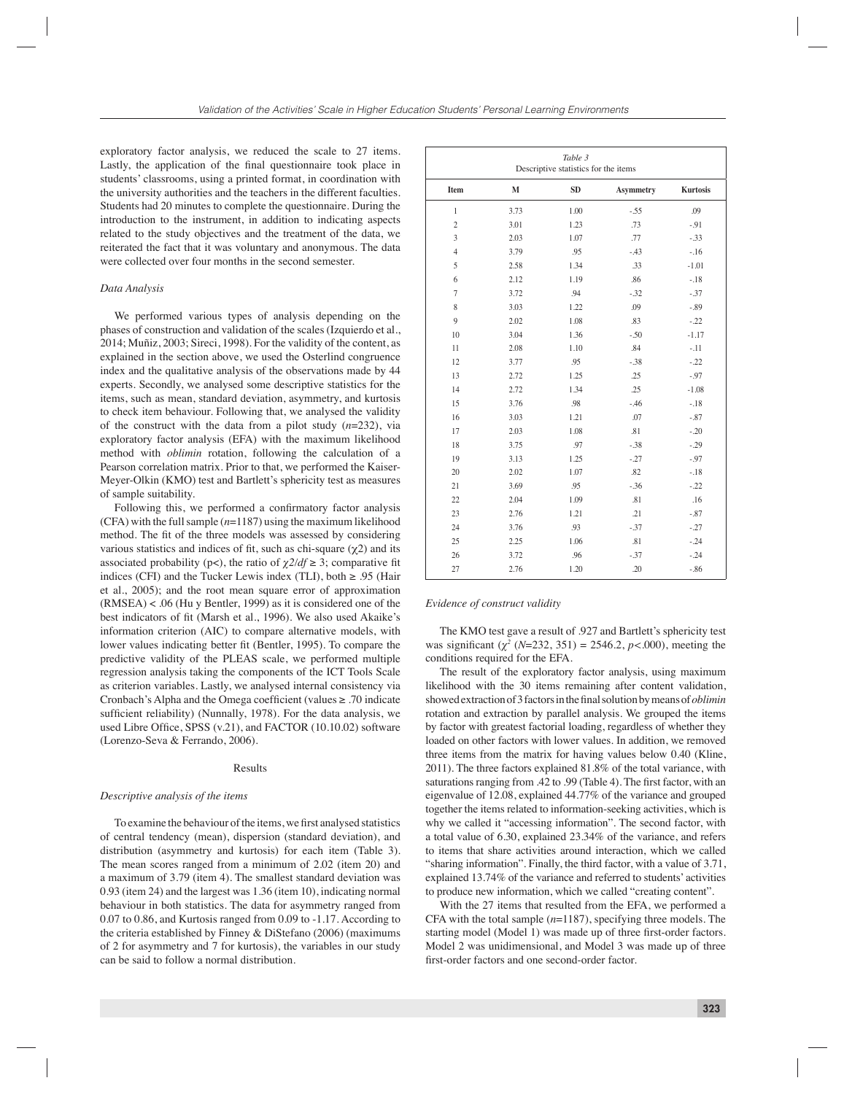exploratory factor analysis, we reduced the scale to 27 items. Lastly, the application of the final questionnaire took place in students' classrooms, using a printed format, in coordination with the university authorities and the teachers in the different faculties. Students had 20 minutes to complete the questionnaire. During the introduction to the instrument, in addition to indicating aspects related to the study objectives and the treatment of the data, we reiterated the fact that it was voluntary and anonymous. The data were collected over four months in the second semester.

#### *Data Analysis*

We performed various types of analysis depending on the phases of construction and validation of the scales (Izquierdo et al., 2014; Muñiz, 2003; Sireci, 1998). For the validity of the content, as explained in the section above, we used the Osterlind congruence index and the qualitative analysis of the observations made by 44 experts. Secondly, we analysed some descriptive statistics for the items, such as mean, standard deviation, asymmetry, and kurtosis to check item behaviour. Following that, we analysed the validity of the construct with the data from a pilot study (*n*=232), via exploratory factor analysis (EFA) with the maximum likelihood method with *oblimin* rotation, following the calculation of a Pearson correlation matrix. Prior to that, we performed the Kaiser-Meyer-Olkin (KMO) test and Bartlett's sphericity test as measures of sample suitability.

Following this, we performed a confirmatory factor analysis (CFA) with the full sample (*n*=1187) using the maximum likelihood method. The fit of the three models was assessed by considering various statistics and indices of fit, such as chi-square  $(\chi^2)$  and its associated probability (p<), the ratio of  $\chi$ 2/df  $\geq$  3; comparative fit indices (CFI) and the Tucker Lewis index (TLI), both  $\geq .95$  (Hair et al., 2005); and the root mean square error of approximation (RMSEA) < .06 (Hu y Bentler, 1999) as it is considered one of the best indicators of fit (Marsh et al., 1996). We also used Akaike's information criterion (AIC) to compare alternative models, with lower values indicating better fit (Bentler, 1995). To compare the predictive validity of the PLEAS scale, we performed multiple regression analysis taking the components of the ICT Tools Scale as criterion variables. Lastly, we analysed internal consistency via Cronbach's Alpha and the Omega coefficient (values  $\geq$  .70 indicate sufficient reliability) (Nunnally, 1978). For the data analysis, we used Libre Office, SPSS  $(v.21)$ , and FACTOR  $(10.10.02)$  software (Lorenzo-Seva & Ferrando, 2006).

#### Results

#### *Descriptive analysis of the items*

To examine the behaviour of the items, we first analysed statistics of central tendency (mean), dispersion (standard deviation), and distribution (asymmetry and kurtosis) for each item (Table 3). The mean scores ranged from a minimum of 2.02 (item 20) and a maximum of 3.79 (item 4). The smallest standard deviation was 0.93 (item 24) and the largest was 1.36 (item 10), indicating normal behaviour in both statistics. The data for asymmetry ranged from 0.07 to 0.86, and Kurtosis ranged from 0.09 to -1.17. According to the criteria established by Finney & DiStefano (2006) (maximums of 2 for asymmetry and 7 for kurtosis), the variables in our study can be said to follow a normal distribution.

| Table 3<br>Descriptive statistics for the items |              |           |                  |                 |  |  |  |
|-------------------------------------------------|--------------|-----------|------------------|-----------------|--|--|--|
| Item                                            | $\mathbf{M}$ | <b>SD</b> | <b>Asymmetry</b> | <b>Kurtosis</b> |  |  |  |
| $\mathbf{1}$                                    | 3.73         | 1.00      | $-55$            | .09             |  |  |  |
| $\overline{c}$                                  | 3.01         | 1.23      | .73              | $-91$           |  |  |  |
| 3                                               | 2.03         | 1.07      | .77              | $-.33$          |  |  |  |
| $\overline{4}$                                  | 3.79         | .95       | $-43$            | $-.16$          |  |  |  |
| 5                                               | 2.58         | 1.34      | .33              | $-1.01$         |  |  |  |
| 6                                               | 2.12         | 1.19      | .86              | $-.18$          |  |  |  |
| $\overline{7}$                                  | 3.72         | .94       | $-32$            | $-.37$          |  |  |  |
| 8                                               | 3.03         | 1.22      | .09              | $-.89$          |  |  |  |
| $\mathbf{Q}$                                    | 2.02         | 1.08      | .83              | $-.22$          |  |  |  |
| 10                                              | 3.04         | 1.36      | $-50$            | $-1.17$         |  |  |  |
| 11                                              | 2.08         | 1.10      | .84              | $-.11$          |  |  |  |
| 12                                              | 3.77         | .95       | $-38$            | $-0.22$         |  |  |  |
| 13                                              | 2.72         | 1.25      | .25              | $-.97$          |  |  |  |
| 14                                              | 2.72         | 1.34      | .25              | $-1.08$         |  |  |  |
| 15                                              | 3.76         | .98       | $-46$            | $-.18$          |  |  |  |
| 16                                              | 3.03         | 1.21      | .07              | $-.87$          |  |  |  |
| 17                                              | 2.03         | 1.08      | .81              | $-.20$          |  |  |  |
| 18                                              | 3.75         | .97       | $-38$            | $-.29$          |  |  |  |
| 19                                              | 3.13         | 1.25      | $-27$            | $-.97$          |  |  |  |
| 20                                              | 2.02         | 1.07      | .82              | $-.18$          |  |  |  |
| 21                                              | 3.69         | .95       | $-36$            | $-.22$          |  |  |  |
| 22                                              | 2.04         | 1.09      | .81              | .16             |  |  |  |
| 23                                              | 2.76         | 1.21      | .21              | $-.87$          |  |  |  |
| 24                                              | 3.76         | .93       | $-37$            | $-.27$          |  |  |  |
| 25                                              | 2.25         | 1.06      | .81              | $-.24$          |  |  |  |
| 26                                              | 3.72         | .96       | $-37$            | $-.24$          |  |  |  |
| 27                                              | 2.76         | 1.20      | .20              | $-.86$          |  |  |  |

#### *Evidence of construct validity*

The KMO test gave a result of .927 and Bartlett's sphericity test was significant  $(\chi^2 \ (N=232, 351) = 2546.2, p < .000)$ , meeting the conditions required for the EFA.

The result of the exploratory factor analysis, using maximum likelihood with the 30 items remaining after content validation, showed extraction of 3 factors in the final solution by means of *oblimin* rotation and extraction by parallel analysis. We grouped the items by factor with greatest factorial loading, regardless of whether they loaded on other factors with lower values. In addition, we removed three items from the matrix for having values below 0.40 (Kline, 2011). The three factors explained 81.8% of the total variance, with saturations ranging from .42 to .99 (Table 4). The first factor, with an eigenvalue of 12.08, explained 44.77% of the variance and grouped together the items related to information-seeking activities, which is why we called it "accessing information". The second factor, with a total value of 6.30, explained 23.34% of the variance, and refers to items that share activities around interaction, which we called "sharing information". Finally, the third factor, with a value of 3.71, explained 13.74% of the variance and referred to students' activities to produce new information, which we called "creating content".

With the 27 items that resulted from the EFA, we performed a CFA with the total sample (*n*=1187), specifying three models. The starting model (Model 1) was made up of three first-order factors. Model 2 was unidimensional, and Model 3 was made up of three first-order factors and one second-order factor.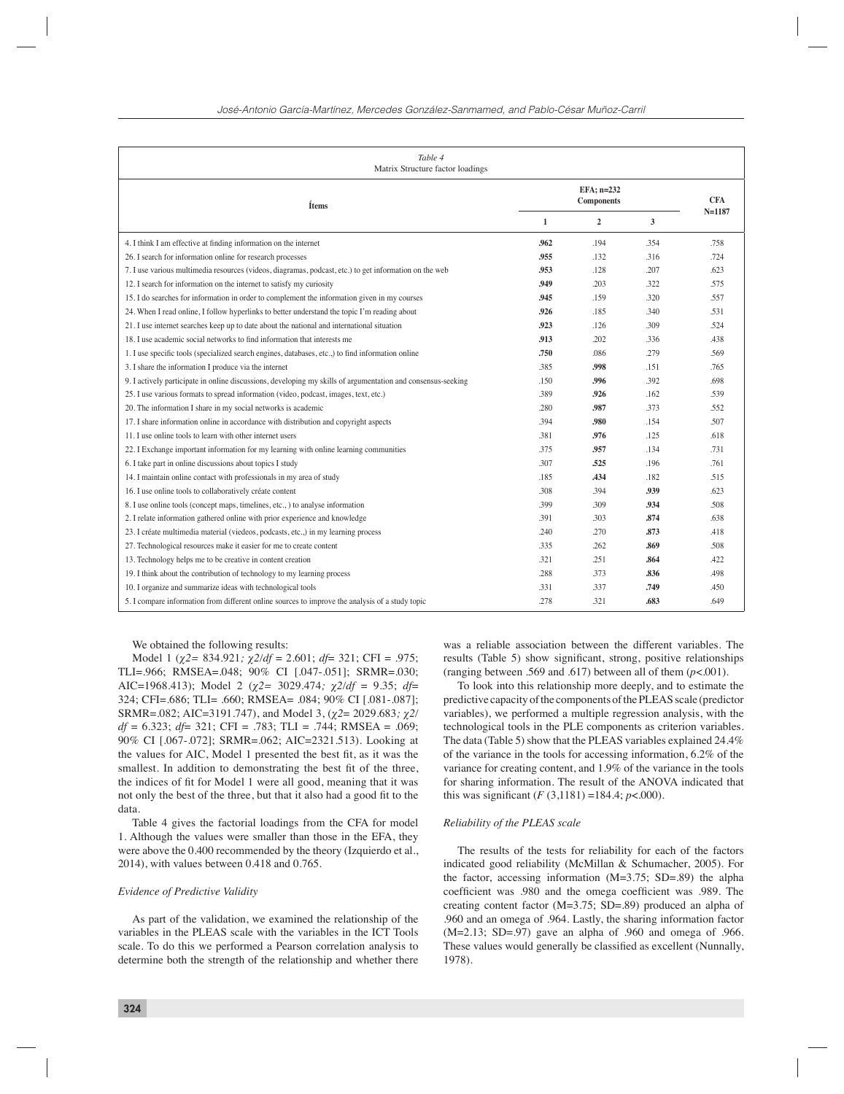| Table 4<br>Matrix Structure factor loadings                                                                  |              |                                 |      |            |  |  |  |
|--------------------------------------------------------------------------------------------------------------|--------------|---------------------------------|------|------------|--|--|--|
| Ítems                                                                                                        |              | EFA; n=232<br><b>Components</b> |      |            |  |  |  |
|                                                                                                              | $\mathbf{1}$ | $\overline{2}$                  | 3    | $N = 1187$ |  |  |  |
| 4. I think I am effective at finding information on the internet                                             | .962         | .194                            | .354 | .758       |  |  |  |
| 26. I search for information online for research processes                                                   | .955         | .132                            | .316 | .724       |  |  |  |
| 7. I use various multimedia resources (videos, diagramas, podcast, etc.) to get information on the web       | 953          | .128                            | .207 | .623       |  |  |  |
| 12. I search for information on the internet to satisfy my curiosity                                         | .949         | .203                            | .322 | .575       |  |  |  |
| 15. I do searches for information in order to complement the information given in my courses                 | .945         | .159                            | .320 | .557       |  |  |  |
| 24. When I read online, I follow hyperlinks to better understand the topic I'm reading about                 | .926         | .185                            | .340 | .531       |  |  |  |
| 21. I use internet searches keep up to date about the national and international situation                   | .923         | .126                            | .309 | .524       |  |  |  |
| 18. I use academic social networks to find information that interests me                                     | .913         | .202                            | .336 | .438       |  |  |  |
| 1. I use specific tools (specialized search engines, databases, etc.,) to find information online            | .750         | .086                            | .279 | .569       |  |  |  |
| 3. I share the information I produce via the internet                                                        | .385         | .998                            | .151 | .765       |  |  |  |
| 9. I actively participate in online discussions, developing my skills of argumentation and consensus-seeking | .150         | .996                            | .392 | .698       |  |  |  |
| 25. I use various formats to spread information (video, podcast, images, text, etc.)                         | .389         | .926                            | .162 | .539       |  |  |  |
| 20. The information I share in my social networks is academic                                                | .280         | .987                            | .373 | .552       |  |  |  |
| 17. I share information online in accordance with distribution and copyright aspects                         | .394         | .980                            | .154 | .507       |  |  |  |
| 11. I use online tools to learn with other internet users                                                    | .381         | .976                            | .125 | .618       |  |  |  |
| 22. I Exchange important information for my learning with online learning communities                        | .375         | .957                            | .134 | .731       |  |  |  |
| 6. I take part in online discussions about topics I study                                                    | .307         | .525                            | .196 | .761       |  |  |  |
| 14. I maintain online contact with professionals in my area of study                                         | .185         | .434                            | .182 | .515       |  |  |  |
| 16. I use online tools to collaboratively créate content                                                     | .308         | .394                            | .939 | .623       |  |  |  |
| 8. I use online tools (concept maps, timelines, etc., ) to analyse information                               | .399         | .309                            | .934 | .508       |  |  |  |
| 2. I relate information gathered online with prior experience and knowledge                                  | .391         | .303                            | .874 | .638       |  |  |  |
| 23. I créate multimedia material (viedeos, podcasts, etc.,) in my learning process                           | .240         | .270                            | .873 | .418       |  |  |  |
| 27. Technological resources make it easier for me to create content                                          | .335         | .262                            | .869 | .508       |  |  |  |
| 13. Technology helps me to be creative in content creation                                                   | .321         | .251                            | .864 | .422       |  |  |  |
| 19. I think about the contribution of technology to my learning process                                      | .288         | .373                            | .836 | .498       |  |  |  |
| 10. I organize and summarize ideas with technological tools                                                  | .331         | .337                            | .749 | .450       |  |  |  |
| 5. I compare information from different online sources to improve the analysis of a study topic              | .278         | .321                            | .683 | .649       |  |  |  |

We obtained the following results:

Model 1 (*χ2=* 834.921*; χ2/df* = 2.601; *df*= 321; CFI = .975; TLI=.966; RMSEA=.048; 90% CI [.047-.051]; SRMR=.030; AIC=1968.413); Model 2 (*χ2=* 3029.474*; χ2/df* = 9.35; *df*= 324; CFI=.686; TLI= .660; RMSEA= .084; 90% CI [.081-.087]; SRMR=.082; AIC=3191.747), and Model 3, (*χ2*= 2029.683*; χ2/ df* = 6.323; *df*= 321; CFI = .783; TLI = .744; RMSEA = .069; 90% CI [.067-.072]; SRMR=.062; AIC=2321.513). Looking at the values for AIC, Model 1 presented the best fit, as it was the smallest. In addition to demonstrating the best fit of the three, the indices of fit for Model 1 were all good, meaning that it was not only the best of the three, but that it also had a good fit to the data.

Table 4 gives the factorial loadings from the CFA for model 1. Although the values were smaller than those in the EFA, they were above the 0.400 recommended by the theory (Izquierdo et al., 2014), with values between 0.418 and 0.765.

### *Evidence of Predictive Validity*

As part of the validation, we examined the relationship of the variables in the PLEAS scale with the variables in the ICT Tools scale. To do this we performed a Pearson correlation analysis to determine both the strength of the relationship and whether there was a reliable association between the different variables. The results (Table 5) show significant, strong, positive relationships (ranging between .569 and .617) between all of them (*p*<.001).

To look into this relationship more deeply, and to estimate the predictive capacity of the components of the PLEAS scale (predictor variables), we performed a multiple regression analysis, with the technological tools in the PLE components as criterion variables. The data (Table 5) show that the PLEAS variables explained 24.4% of the variance in the tools for accessing information, 6.2% of the variance for creating content, and 1.9% of the variance in the tools for sharing information. The result of the ANOVA indicated that this was significant  $(F(3,1181) = 184.4; p < .000)$ .

# *Reliability of the PLEAS scale*

The results of the tests for reliability for each of the factors indicated good reliability (McMillan & Schumacher, 2005). For the factor, accessing information (M=3.75; SD=.89) the alpha coefficient was .980 and the omega coefficient was .989. The creating content factor (M=3.75; SD=.89) produced an alpha of .960 and an omega of .964. Lastly, the sharing information factor (M=2.13; SD=.97) gave an alpha of .960 and omega of .966. These values would generally be classified as excellent (Nunnally, 1978).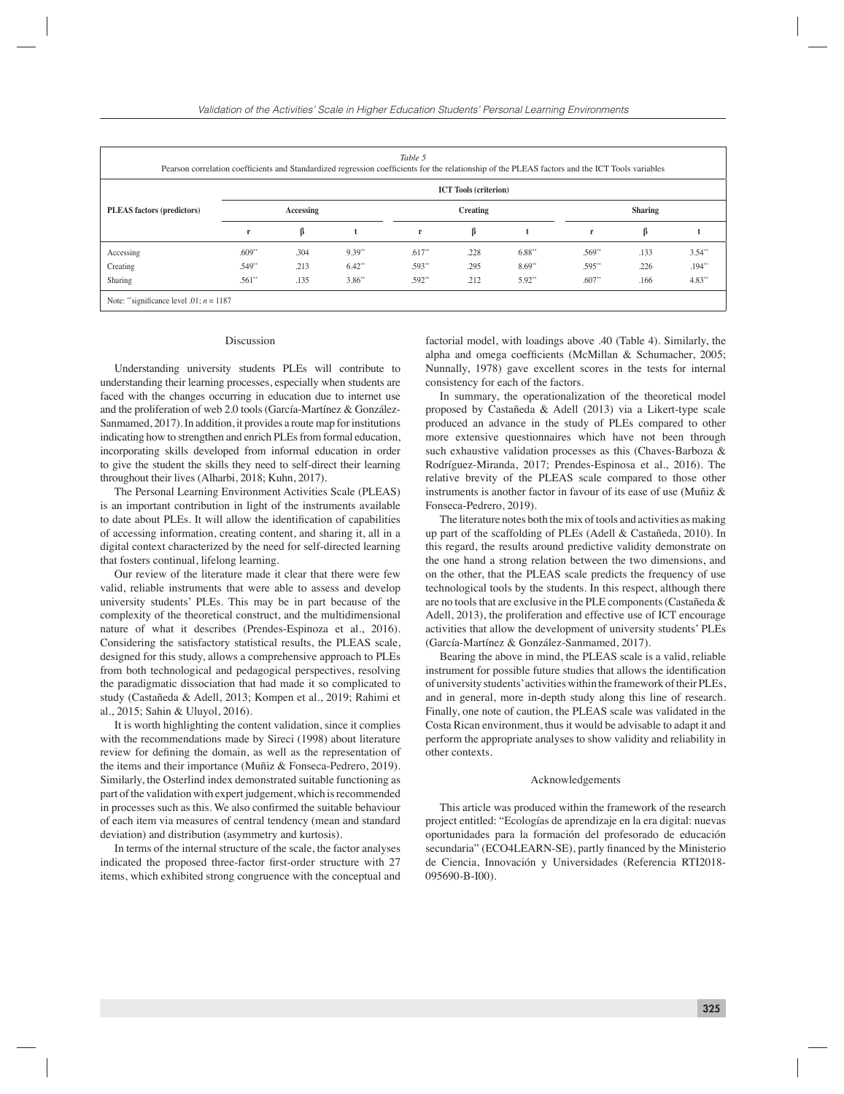| Table 5<br>Pearson correlation coefficients and Standardized regression coefficients for the relationship of the PLEAS factors and the ICT Tools variables |           |                              |          |              |      |                |              |      |          |
|------------------------------------------------------------------------------------------------------------------------------------------------------------|-----------|------------------------------|----------|--------------|------|----------------|--------------|------|----------|
|                                                                                                                                                            |           | <b>ICT</b> Tools (criterion) |          |              |      |                |              |      |          |
| PLEAS factors (predictors)                                                                                                                                 | Accessing |                              | Creating |              |      | <b>Sharing</b> |              |      |          |
|                                                                                                                                                            | r         | ß                            |          | $\mathbf{r}$ | ß    |                | $\mathbf{r}$ | ß    |          |
| Accessing                                                                                                                                                  | $.609**$  | .304                         | $9.39**$ | $.617**$     | .228 | $6.88**$       | $.569**$     | .133 | $3.54**$ |
| Creating                                                                                                                                                   | $.549**$  | .213                         | $6.42**$ | $.593**$     | .295 | $8.69**$       | $.595**$     | .226 | $.194**$ |
| Sharing                                                                                                                                                    | $.561**$  | .135                         | $3.86**$ | $.592**$     | .212 | $5.92**$       | $.607**$     | .166 | $4.83**$ |
| Note: "significance level .01; $n = 1187$                                                                                                                  |           |                              |          |              |      |                |              |      |          |

#### Discussion

Understanding university students PLEs will contribute to understanding their learning processes, especially when students are faced with the changes occurring in education due to internet use and the proliferation of web 2.0 tools (García-Martínez & González-Sanmamed, 2017). In addition, it provides a route map for institutions indicating how to strengthen and enrich PLEs from formal education, incorporating skills developed from informal education in order to give the student the skills they need to self-direct their learning throughout their lives (Alharbi, 2018; Kuhn, 2017).

The Personal Learning Environment Activities Scale (PLEAS) is an important contribution in light of the instruments available to date about PLEs. It will allow the identification of capabilities of accessing information, creating content, and sharing it, all in a digital context characterized by the need for self-directed learning that fosters continual, lifelong learning.

Our review of the literature made it clear that there were few valid, reliable instruments that were able to assess and develop university students' PLEs. This may be in part because of the complexity of the theoretical construct, and the multidimensional nature of what it describes (Prendes-Espinoza et al., 2016). Considering the satisfactory statistical results, the PLEAS scale, designed for this study, allows a comprehensive approach to PLEs from both technological and pedagogical perspectives, resolving the paradigmatic dissociation that had made it so complicated to study (Castañeda & Adell, 2013; Kompen et al., 2019; Rahimi et al., 2015; Sahin & Uluyol, 2016).

It is worth highlighting the content validation, since it complies with the recommendations made by Sireci (1998) about literature review for defining the domain, as well as the representation of the items and their importance (Muñiz & Fonseca-Pedrero, 2019). Similarly, the Osterlind index demonstrated suitable functioning as part of the validation with expert judgement, which is recommended in processes such as this. We also confirmed the suitable behaviour of each item via measures of central tendency (mean and standard deviation) and distribution (asymmetry and kurtosis).

In terms of the internal structure of the scale, the factor analyses indicated the proposed three-factor first-order structure with 27 items, which exhibited strong congruence with the conceptual and

factorial model, with loadings above .40 (Table 4). Similarly, the alpha and omega coefficients (McMillan  $&$  Schumacher, 2005; Nunnally, 1978) gave excellent scores in the tests for internal consistency for each of the factors.

In summary, the operationalization of the theoretical model proposed by Castañeda & Adell (2013) via a Likert-type scale produced an advance in the study of PLEs compared to other more extensive questionnaires which have not been through such exhaustive validation processes as this (Chaves-Barboza & Rodríguez-Miranda, 2017; Prendes-Espinosa et al., 2016). The relative brevity of the PLEAS scale compared to those other instruments is another factor in favour of its ease of use (Muñiz & Fonseca-Pedrero, 2019).

The literature notes both the mix of tools and activities as making up part of the scaffolding of PLEs (Adell & Castañeda, 2010). In this regard, the results around predictive validity demonstrate on the one hand a strong relation between the two dimensions, and on the other, that the PLEAS scale predicts the frequency of use technological tools by the students. In this respect, although there are no tools that are exclusive in the PLE components (Castañeda & Adell, 2013), the proliferation and effective use of ICT encourage activities that allow the development of university students' PLEs (García-Martínez & González-Sanmamed, 2017).

Bearing the above in mind, the PLEAS scale is a valid, reliable instrument for possible future studies that allows the identification of university students' activities within the framework of their PLEs, and in general, more in-depth study along this line of research. Finally, one note of caution, the PLEAS scale was validated in the Costa Rican environment, thus it would be advisable to adapt it and perform the appropriate analyses to show validity and reliability in other contexts.

#### Acknowledgements

This article was produced within the framework of the research project entitled: "Ecologías de aprendizaje en la era digital: nuevas oportunidades para la formación del profesorado de educación secundaria" (ECO4LEARN-SE), partly financed by the Ministerio de Ciencia, Innovación y Universidades (Referencia RTI2018- 095690-B-I00).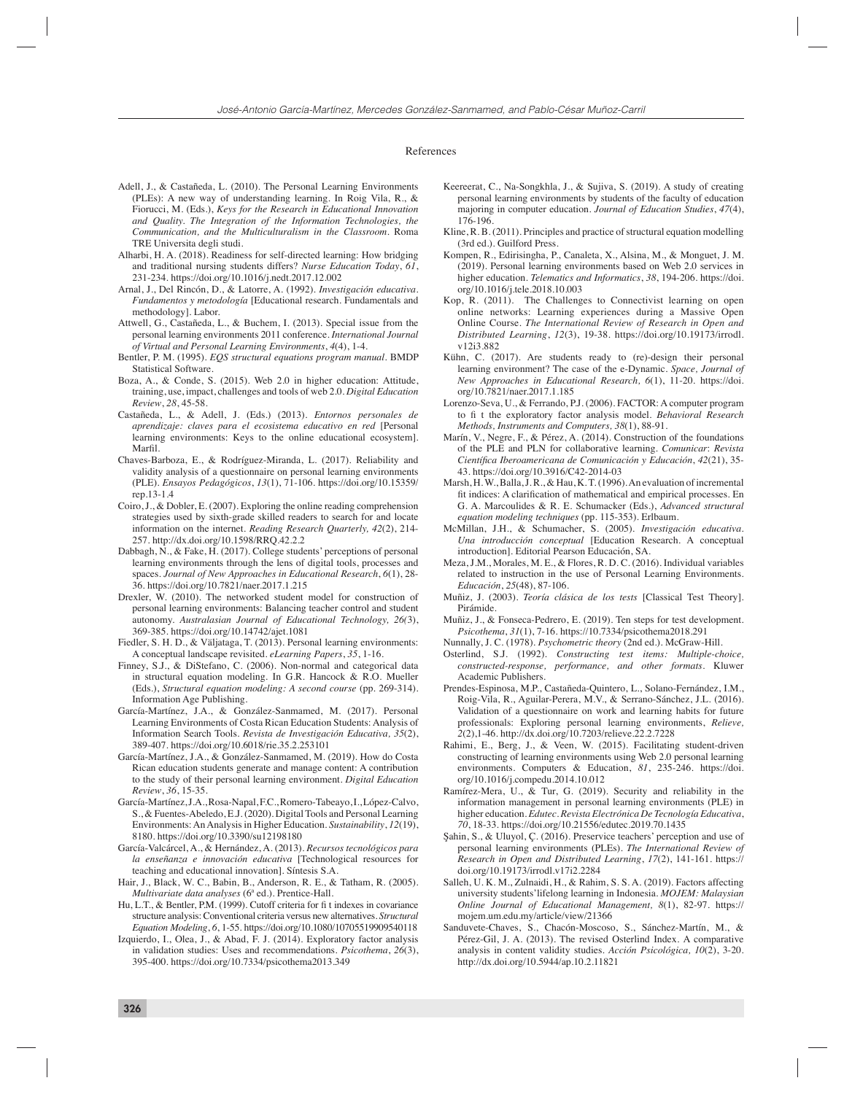#### References

- Adell, J., & Castañeda, L. (2010). The Personal Learning Environments (PLEs): A new way of understanding learning. In Roig Vila, R., & Fiorucci, M. (Eds.), *Keys for the Research in Educational Innovation and Quality. The Integration of the Information Technologies, the Communication, and the Multiculturalism in the Classroom*. Roma TRE Universita degli studi.
- Alharbi, H. A. (2018). Readiness for self-directed learning: How bridging and traditional nursing students differs? *Nurse Education Today*, *61*, 231-234. https://doi.org/10.1016/j.nedt.2017.12.002
- Arnal, J., Del Rincón, D., & Latorre, A. (1992). *Investigación educativa. Fundamentos y metodología* [Educational research. Fundamentals and methodology]. Labor.
- Attwell, G., Castañeda, L., & Buchem, I. (2013). Special issue from the personal learning environments 2011 conference. *International Journal of Virtual and Personal Learning Environments*, *4*(4), 1-4.
- Bentler, P. M. (1995). *EQS structural equations program manual.* BMDP Statistical Software.
- Boza, A., & Conde, S. (2015). Web 2.0 in higher education: Attitude, training, use, impact, challenges and tools of web 2.0. *Digital Education Review*, *28*, 45-58.
- Castañeda, L., & Adell, J. (Eds.) (2013). *Entornos personales de aprendizaje: claves para el ecosistema educativo en red* [Personal learning environments: Keys to the online educational ecosystem]. Marfil.
- Chaves-Barboza, E., & Rodríguez-Miranda, L. (2017). Reliability and validity analysis of a questionnaire on personal learning environments (PLE). *Ensayos Pedagógicos*, *13*(1), 71-106. https://doi.org/10.15359/ rep.13-1.4
- Coiro, J., & Dobler, E. (2007). Exploring the online reading comprehension strategies used by sixth-grade skilled readers to search for and locate information on the internet. *Reading Research Quarterly, 42*(2), 214- 257. http://dx.doi.org/10.1598/RRQ.42.2.2
- Dabbagh, N., & Fake, H. (2017). College students' perceptions of personal learning environments through the lens of digital tools, processes and spaces. *Journal of New Approaches in Educational Research*, *6*(1), 28- 36. https://doi.org/10.7821/naer.2017.1.215
- Drexler, W. (2010). The networked student model for construction of personal learning environments: Balancing teacher control and student autonomy. *Australasian Journal of Educational Technology, 26(*3), 369-385. https://doi.org/10.14742/ajet.1081
- Fiedler, S. H. D., & Väljataga, T. (2013). Personal learning environments: A conceptual landscape revisited. *eLearning Papers*, *35*, 1-16.
- Finney, S.J., & DiStefano, C. (2006). Non-normal and categorical data in structural equation modeling. In G.R. Hancock & R.O. Mueller (Eds.), *Structural equation modeling: A second course* (pp. 269-314). Information Age Publishing.
- García-Martínez, J.A., & González-Sanmamed, M. (2017). Personal Learning Environments of Costa Rican Education Students: Analysis of Information Search Tools. *Revista de Investigación Educativa, 35*(2), 389-407. https://doi.org/10.6018/rie.35.2.253101
- García-Martínez, J.A., & González-Sanmamed, M. (2019). How do Costa Rican education students generate and manage content: A contribution to the study of their personal learning environment. *Digital Education Review*, *36*, 15-35.
- García-Martínez, J.A., Rosa-Napal, F.C., Romero-Tabeayo, I., López-Calvo, S., & Fuentes-Abeledo, E.J. (2020). Digital Tools and Personal Learning Environments: An Analysis in Higher Education. *Sustainability*, *12*(19), 8180. https://doi.org/10.3390/su12198180
- García-Valcárcel, A., & Hernández, A. (2013). *Recursos tecnológicos para la enseñanza e innovación educativa* [Technological resources for teaching and educational innovation]*.* Síntesis S.A.
- Hair, J., Black, W. C., Babin, B., Anderson, R. E., & Tatham, R. (2005). *Multivariate data analyses* (6ª ed.). Prentice-Hall.
- Hu, L.T., & Bentler, P.M. (1999). Cutoff criteria for fi t indexes in covariance structure analysis: Conventional criteria versus new alternatives. *Structural Equation Modeling*, *6*, 1-55. https://doi.org/10.1080/10705519909540118
- Izquierdo, I., Olea, J., & Abad, F. J. (2014). Exploratory factor analysis in validation studies: Uses and recommendations. *Psicothema*, *26*(3), 395-400. https://doi.org/10.7334/psicothema2013.349
- Keereerat, C., Na-Songkhla, J., & Sujiva, S. (2019). A study of creating personal learning environments by students of the faculty of education majoring in computer education. *Journal of Education Studies*, *47*(4), 176-196.
- Kline, R. B. (2011). Principles and practice of structural equation modelling (3rd ed.). Guilford Press.
- Kompen, R., Edirisingha, P., Canaleta, X., Alsina, M., & Monguet, J. M. (2019). Personal learning environments based on Web 2.0 services in higher education. *Telematics and Informatics*, 38, 194-206. https://doi. org/10.1016/j.tele.2018.10.003
- Kop, R. (2011). The Challenges to Connectivist learning on open online networks: Learning experiences during a Massive Open Online Course. *The International Review of Research in Open and Distributed Learning*, *12*(3), 19-38. https://doi.org/10.19173/irrodl. v12i3.882
- Kühn, C. (2017). Are students ready to (re)-design their personal learning environment? The case of the e-Dynamic. *Space, Journal of New Approaches in Educational Research, 6*(1), 11-20. https://doi. org/10.7821/naer.2017.1.185
- Lorenzo-Seva, U., & Ferrando, P.J. (2006). FACTOR: A computer program to fi t the exploratory factor analysis model. *Behavioral Research Methods, Instruments and Computers, 38*(1), 88-91.
- Marín, V., Negre, F., & Pérez, A. (2014). Construction of the foundations of the PLE and PLN for collaborative learning. *Comunicar*: *Revista Científi ca Iberoamericana de Comunicación y Educación*, *42*(21), 35- 43. https://doi.org/10.3916/C42-2014-03
- Marsh, H. W., Balla, J. R., & Hau, K. T. (1996). An evaluation of incremental fit indices: A clarification of mathematical and empirical processes. En G. A. Marcoulides & R. E. Schumacker (Eds.), *Advanced structural equation modeling techniques* (pp. 115-353). Erlbaum.
- McMillan, J.H., & Schumacher, S. (2005). *Investigación educativa. Una introducción conceptual* [Education Research. A conceptual introduction]*.* Editorial Pearson Educación, SA.
- Meza, J.M., Morales, M. E., & Flores, R. D. C. (2016). Individual variables related to instruction in the use of Personal Learning Environments. *Educación*, *25*(48), 87-106.
- Muñiz, J. (2003). *Teoría clásica de los tests* [Classical Test Theory]. Pirámide.
- Muñiz, J., & Fonseca-Pedrero, E. (2019). Ten steps for test development. *Psicothema*, *31*(1), 7-16. https://10.7334/psicothema2018.291
- Nunnally, J. C. (1978). *Psychometric theory* (2nd ed.). McGraw-Hill.
- Osterlind, S.J. (1992). *Constructing test items: Multiple-choice*, *constructed-response, performance, and other formats*. Kluwer Academic Publishers.
- Prendes-Espinosa, M.P., Castañeda-Quintero, L., Solano-Fernández, I.M., Roig-Vila, R., Aguilar-Perera, M.V., & Serrano-Sánchez, J.L. (2016). Validation of a questionnaire on work and learning habits for future professionals: Exploring personal learning environments, *Relieve, 2*(2),1-46. http://dx.doi.org/10.7203/relieve.22.2.7228
- Rahimi, E., Berg, J., & Veen, W. (2015). Facilitating student-driven constructing of learning environments using Web 2.0 personal learning environments. Computers & Education, *81*, 235-246. https://doi. org/10.1016/j.compedu.2014.10.012
- Ramírez-Mera, U., & Tur, G. (2019). Security and reliability in the information management in personal learning environments (PLE) in higher education. *Edutec. Revista Electrónica De Tecnología Educativa*, *70*, 18-33. https://doi.org/10.21556/edutec.2019.70.1435
- Şahin, S., & Uluyol, Ç. (2016). Preservice teachers' perception and use of personal learning environments (PLEs). *The International Review of Research in Open and Distributed Learning*, *17*(2), 141-161. https:// doi.org/10.19173/irrodl.v17i2.2284
- Salleh, U. K. M., Zulnaidi, H., & Rahim, S. S. A. (2019). Factors affecting university students'lifelong learning in Indonesia*. MOJEM: Malaysian Online Journal of Educational Management, 8*(1), 82-97. https:// mojem.um.edu.my/article/view/21366
- Sanduvete-Chaves, S., Chacón-Moscoso, S., Sánchez-Martín, M., & Pérez-Gil, J. A. (2013). The revised Osterlind Index*.* A comparative analysis in content validity studies. *Acción Psicológica, 10*(2), 3-20. http://dx.doi.org/10.5944/ap.10.2.11821